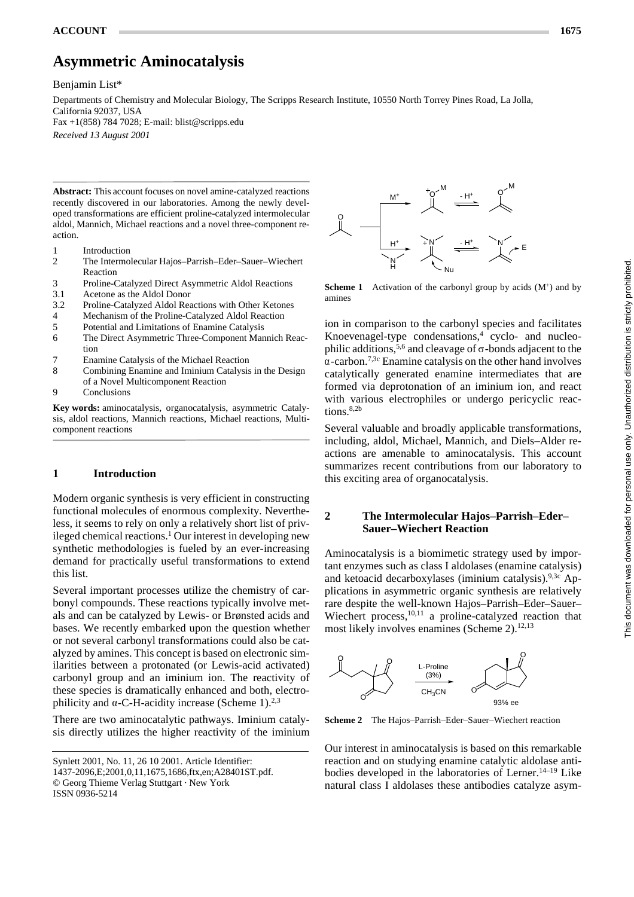# **Asymmetric Aminocatalysis**

#### Benjamin List\*

Departments of Chemistry and Molecular Biology, The Scripps Research Institute, 10550 North Torrey Pines Road, La Jolla, California 92037, USA

Fax +1(858) 784 7028; E-mail: blist@scripps.edu *Received 13 August 2001*

**Abstract:** This account focuses on novel amine-catalyzed reactions recently discovered in our laboratories. Among the newly developed transformations are efficient proline-catalyzed intermolecular aldol, Mannich, Michael reactions and a novel three-component reaction.

- 1 Introduction<br>2 The Intermo
- 2 The Intermolecular Hajos–Parrish–Eder–Sauer–Wiechert Reaction
- 3 Proline-Catalyzed Direct Asymmetric Aldol Reactions
- 3.1 Acetone as the Aldol Donor
- 3.2 Proline-Catalyzed Aldol Reactions with Other Ketones
- 4 Mechanism of the Proline-Catalyzed Aldol Reaction
- 5 Potential and Limitations of Enamine Catalysis
- 6 The Direct Asymmetric Three-Component Mannich Reaction
- 7 Enamine Catalysis of the Michael Reaction
- 8 Combining Enamine and Iminium Catalysis in the Design
- of a Novel Multicomponent Reaction
- 9 Conclusions

**Key words:** aminocatalysis, organocatalysis, asymmetric Catalysis, aldol reactions, Mannich reactions, Michael reactions, Multicomponent reactions

# **1 Introduction**

Modern organic synthesis is very efficient in constructing functional molecules of enormous complexity. Nevertheless, it seems to rely on only a relatively short list of privileged chemical reactions.<sup>1</sup> Our interest in developing new synthetic methodologies is fueled by an ever-increasing demand for practically useful transformations to extend this list.

Several important processes utilize the chemistry of carbonyl compounds. These reactions typically involve metals and can be catalyzed by Lewis- or Brønsted acids and bases. We recently embarked upon the question whether or not several carbonyl transformations could also be catalyzed by amines. This concept is based on electronic similarities between a protonated (or Lewis-acid activated) carbonyl group and an iminium ion. The reactivity of these species is dramatically enhanced and both, electrophilicity and  $\alpha$ -C-H-acidity increase (Scheme 1).<sup>2,3</sup>

There are two aminocatalytic pathways. Iminium catalysis directly utilizes the higher reactivity of the iminium



**Scheme 1** Activation of the carbonyl group by acids  $(M^+)$  and by amines

ion in comparison to the carbonyl species and facilitates Knoevenagel-type condensations,<sup>4</sup> cyclo- and nucleophilic additions,  $5,6$  and cleavage of  $\sigma$ -bonds adjacent to the  $\alpha$ -carbon.<sup>7,3c</sup> Enamine catalysis on the other hand involves catalytically generated enamine intermediates that are formed via deprotonation of an iminium ion, and react with various electrophiles or undergo pericyclic reactions.<sup>8,2b</sup>

Several valuable and broadly applicable transformations, including, aldol, Michael, Mannich, and Diels–Alder reactions are amenable to aminocatalysis. This account summarizes recent contributions from our laboratory to this exciting area of organocatalysis.

## **2 The Intermolecular Hajos–Parrish–Eder– Sauer–Wiechert Reaction**

Aminocatalysis is a biomimetic strategy used by important enzymes such as class I aldolases (enamine catalysis) and ketoacid decarboxylases (iminium catalysis).<sup>9,3c</sup> Applications in asymmetric organic synthesis are relatively rare despite the well-known Hajos–Parrish–Eder–Sauer– Wiechert process, $10,11$  a proline-catalyzed reaction that most likely involves enamines (Scheme 2).<sup>12,13</sup>



**Scheme 2** The Hajos–Parrish–Eder–Sauer–Wiechert reaction

Our interest in aminocatalysis is based on this remarkable reaction and on studying enamine catalytic aldolase antibodies developed in the laboratories of Lerner.<sup>14-19</sup> Like natural class I aldolases these antibodies catalyze asym-

Synlett 2001, No. 11, 26 10 2001. Article Identifier: 1437-2096,E;2001,0,11,1675,1686,ftx,en;A28401ST.pdf. © Georg Thieme Verlag Stuttgart · New York ISSN 0936-5214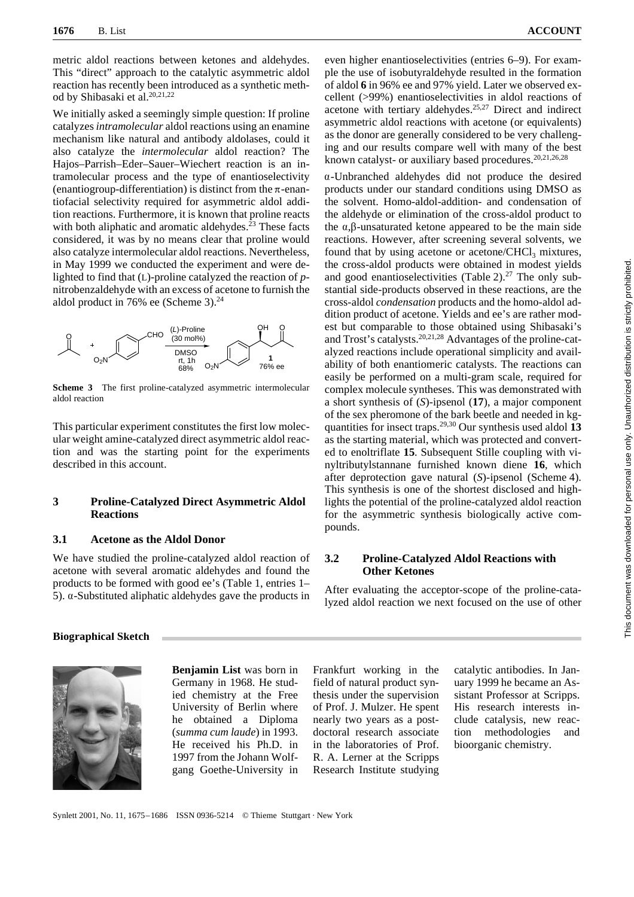metric aldol reactions between ketones and aldehydes. This "direct" approach to the catalytic asymmetric aldol reaction has recently been introduced as a synthetic method by Shibasaki et al.<sup>20,21,22</sup>

We initially asked a seemingly simple question: If proline catalyzes *intramolecular* aldol reactions using an enamine mechanism like natural and antibody aldolases, could it also catalyze the *intermolecular* aldol reaction? The Hajos–Parrish–Eder–Sauer–Wiechert reaction is an intramolecular process and the type of enantioselectivity (enantiogroup-differentiation) is distinct from the  $\pi$ -enantiofacial selectivity required for asymmetric aldol addition reactions. Furthermore, it is known that proline reacts with both aliphatic and aromatic aldehydes.<sup>23</sup> These facts considered, it was by no means clear that proline would also catalyze intermolecular aldol reactions. Nevertheless, in May 1999 we conducted the experiment and were delighted to find that (L)-proline catalyzed the reaction of *p*nitrobenzaldehyde with an excess of acetone to furnish the aldol product in 76% ee (Scheme 3).<sup>24</sup>



**Scheme 3** The first proline-catalyzed asymmetric intermolecular aldol reaction

This particular experiment constitutes the first low molecular weight amine-catalyzed direct asymmetric aldol reaction and was the starting point for the experiments described in this account.

# **3 Proline-Catalyzed Direct Asymmetric Aldol Reactions**

### **3.1 Acetone as the Aldol Donor**

We have studied the proline-catalyzed aldol reaction of acetone with several aromatic aldehydes and found the products to be formed with good ee's (Table 1, entries 1– 5).  $\alpha$ -Substituted aliphatic aldehydes gave the products in

even higher enantioselectivities (entries 6–9). For example the use of isobutyraldehyde resulted in the formation of aldol **6** in 96% ee and 97% yield. Later we observed excellent (>99%) enantioselectivities in aldol reactions of acetone with tertiary aldehydes.<sup>25,27</sup> Direct and indirect asymmetric aldol reactions with acetone (or equivalents) as the donor are generally considered to be very challenging and our results compare well with many of the best known catalyst- or auxiliary based procedures.<sup>20,21,26,28</sup>

-Unbranched aldehydes did not produce the desired products under our standard conditions using DMSO as the solvent. Homo-aldol-addition- and condensation of the aldehyde or elimination of the cross-aldol product to the  $\alpha$ , $\beta$ -unsaturated ketone appeared to be the main side reactions. However, after screening several solvents, we found that by using acetone or acetone/ $CHCl<sub>3</sub>$  mixtures, the cross-aldol products were obtained in modest yields and good enantioselectivities (Table 2).<sup>27</sup> The only substantial side-products observed in these reactions, are the cross-aldol *condensation* products and the homo-aldol addition product of acetone. Yields and ee's are rather modest but comparable to those obtained using Shibasaki's and Trost's catalysts.20,21,28 Advantages of the proline-catalyzed reactions include operational simplicity and availability of both enantiomeric catalysts. The reactions can easily be performed on a multi-gram scale, required for complex molecule syntheses. This was demonstrated with a short synthesis of (*S*)-ipsenol (**17**), a major component of the sex pheromone of the bark beetle and needed in kgquantities for insect traps.29,30 Our synthesis used aldol **13** as the starting material, which was protected and converted to enoltriflate **15**. Subsequent Stille coupling with vinyltributylstannane furnished known diene **16**, which after deprotection gave natural (*S*)-ipsenol (Scheme 4). This synthesis is one of the shortest disclosed and highlights the potential of the proline-catalyzed aldol reaction for the asymmetric synthesis biologically active compounds.

## **3.2 Proline-Catalyzed Aldol Reactions with Other Ketones**

After evaluating the acceptor-scope of the proline-catalyzed aldol reaction we next focused on the use of other

#### **Biographical Sketch**



**Benjamin List** was born in Germany in 1968. He studied chemistry at the Free University of Berlin where he obtained a Diploma (*summa cum laude*) in 1993. He received his Ph.D. in 1997 from the Johann Wolfgang Goethe-University in

Frankfurt working in the field of natural product synthesis under the supervision of Prof. J. Mulzer. He spent nearly two years as a postdoctoral research associate in the laboratories of Prof. R. A. Lerner at the Scripps Research Institute studying catalytic antibodies. In January 1999 he became an Assistant Professor at Scripps. His research interests include catalysis, new reaction methodologies and bioorganic chemistry.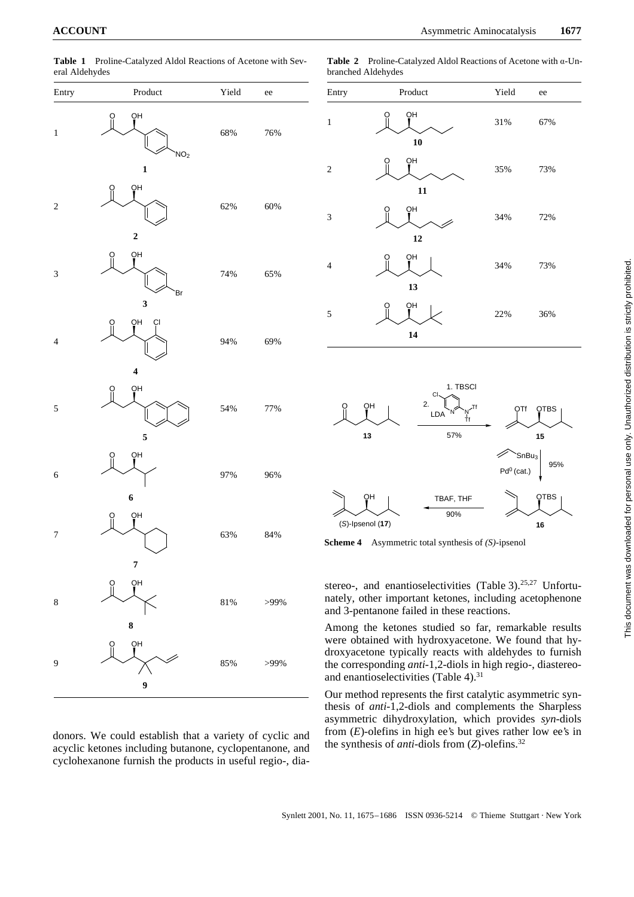**Table 1** Proline-Catalyzed Aldol Reactions of Acetone with Several Aldehydes

**Table 2** Proline-Catalyzed Aldol Reactions of Acetone with  $\alpha$ -Unbranched Aldehydes

| Entry                   | Product                                             | Yield  | ee      |
|-------------------------|-----------------------------------------------------|--------|---------|
| $\mathbf{1}$            | QН<br>Ó<br>NO <sub>2</sub>                          | 68%    | 76%     |
| $\overline{\mathbf{c}}$ | $\mathbf{1}$<br>QН<br>ပူ<br>$\overline{\mathbf{c}}$ | 62%    | 60%     |
| 3                       | QН<br>ဝူ<br>Br<br>3                                 | 74%    | 65%     |
| 4                       | QН<br>$\overline{Q}$<br>$\overline{\mathbf{4}}$     | 94%    | 69%     |
| 5                       | QН                                                  | 54%    | 77%     |
| 6                       | 5<br>ŌН<br>၀ူ<br>6                                  | 97%    | 96%     |
| 7                       | QН<br>O<br>7                                        | 63%    | 84%     |
| 8                       | QН<br>ဂူ<br>8                                       | $81\%$ | $>99\%$ |
| $\overline{9}$          | ęн<br>9                                             | 85%    | $>99\%$ |

donors. We could establish that a variety of cyclic and acyclic ketones including butanone, cyclopentanone, and cyclohexanone furnish the products in useful regio-, dia-





**Scheme 4** Asymmetric total synthesis of *(S)*-ipsenol

stereo-, and enantioselectivities (Table 3).<sup>25,27</sup> Unfortunately, other important ketones, including acetophenone and 3-pentanone failed in these reactions.

Among the ketones studied so far, remarkable results were obtained with hydroxyacetone. We found that hydroxyacetone typically reacts with aldehydes to furnish the corresponding *anti*-1,2-diols in high regio-, diastereoand enantioselectivities (Table 4).<sup>31</sup>

Our method represents the first catalytic asymmetric synthesis of *anti*-1,2-diols and complements the Sharpless asymmetric dihydroxylation, which provides *syn*-diols from (*E*)-olefins in high ee's but gives rather low ee's in the synthesis of *anti-*diols from (*Z*)-olefins.32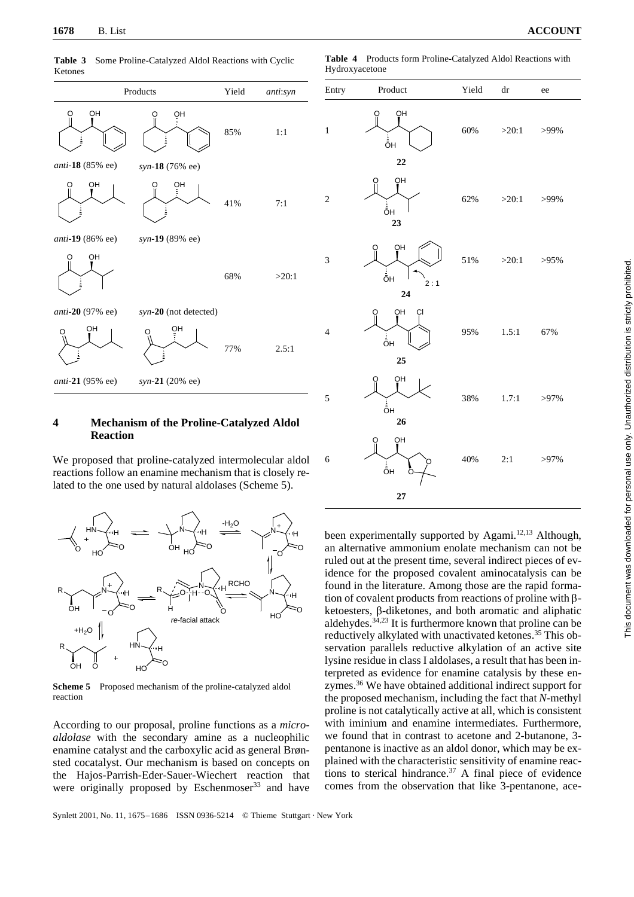**Table 3** Some Proline-Catalyzed Aldol Reactions with Cyclic Ketones



### **4 Mechanism of the Proline-Catalyzed Aldol Reaction**

We proposed that proline-catalyzed intermolecular aldol reactions follow an enamine mechanism that is closely related to the one used by natural aldolases (Scheme 5).



**Scheme 5** Proposed mechanism of the proline-catalyzed aldol reaction

According to our proposal, proline functions as a *microaldolase* with the secondary amine as a nucleophilic enamine catalyst and the carboxylic acid as general Brønsted cocatalyst. Our mechanism is based on concepts on the Hajos-Parrish-Eder-Sauer-Wiechert reaction that were originally proposed by Eschenmoser<sup>33</sup> and have

| Hydroxyacetone |                           |       |            |         |  |
|----------------|---------------------------|-------|------------|---------|--|
| Entry          | Product                   | Yield | ${\rm dr}$ | ee      |  |
| $\mathbf{1}$   | ŌН<br>òн<br>22            | 60%   | >20:1      | >99%    |  |
| $\overline{c}$ | QН<br>òн<br>23            | 62%   | >20:1      | >99%    |  |
| 3              | QН<br><br>ŌН<br>2:1<br>24 | 51%   | >20:1      | >95%    |  |
| 4              | ŌΗ<br>СI<br>å<br>ÖH<br>25 | 95%   | 1.5:1      | 67%     |  |
| 5              | OH<br><br>ŌН<br>26        | 38%   | 1.7:1      | $>97\%$ |  |
| 6              | QН<br>òн<br>C             | 40%   | 2:1        | $>97\%$ |  |
|                | 27                        |       |            |         |  |

been experimentally supported by Agami.<sup>12,13</sup> Although, an alternative ammonium enolate mechanism can not be ruled out at the present time, several indirect pieces of evidence for the proposed covalent aminocatalysis can be found in the literature. Among those are the rapid formation of covalent products from reactions of proline with  $\beta$ ketoesters,  $\beta$ -diketones, and both aromatic and aliphatic aldehydes.34,23 It is furthermore known that proline can be reductively alkylated with unactivated ketones.<sup>35</sup> This observation parallels reductive alkylation of an active site lysine residue in class I aldolases, a result that has been interpreted as evidence for enamine catalysis by these enzymes.36 We have obtained additional indirect support for the proposed mechanism, including the fact that *N*-methyl proline is not catalytically active at all, which is consistent with iminium and enamine intermediates. Furthermore, we found that in contrast to acetone and 2-butanone, 3 pentanone is inactive as an aldol donor, which may be explained with the characteristic sensitivity of enamine reactions to sterical hindrance.<sup>37</sup> A final piece of evidence comes from the observation that like 3-pentanone, ace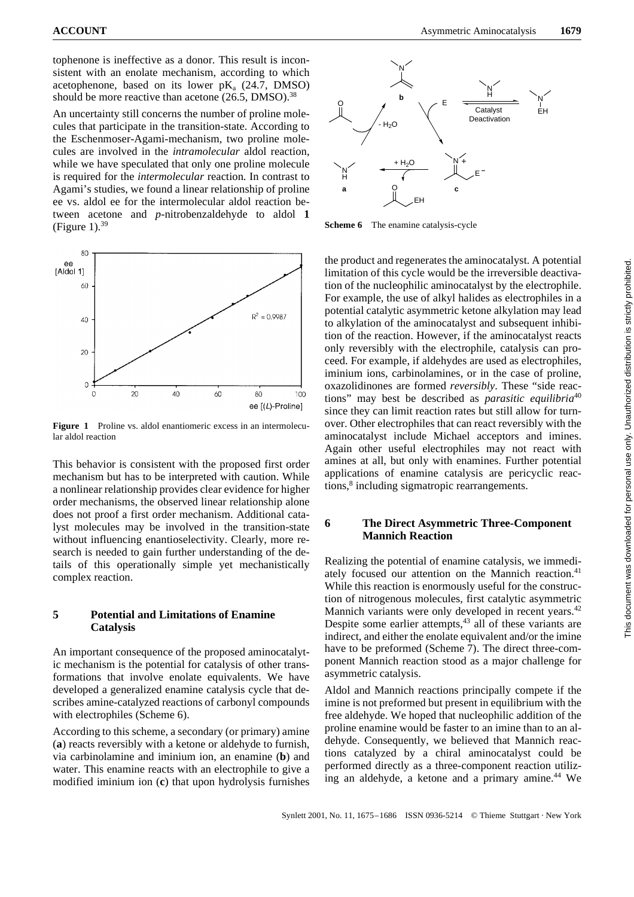tophenone is ineffective as a donor. This result is inconsistent with an enolate mechanism, according to which acetophenone, based on its lower  $pK_a$  (24.7, DMSO) should be more reactive than acetone  $(26.5, DMSO)^{38}$ 

An uncertainty still concerns the number of proline molecules that participate in the transition-state. According to the Eschenmoser-Agami-mechanism, two proline molecules are involved in the *intramolecular* aldol reaction, while we have speculated that only one proline molecule is required for the *intermolecular* reaction. In contrast to Agami's studies, we found a linear relationship of proline ee vs. aldol ee for the intermolecular aldol reaction between acetone and *p-*nitrobenzaldehyde to aldol **1** (Figure 1). $39$ 



Figure 1 Proline vs. aldol enantiomeric excess in an intermolecular aldol reaction

This behavior is consistent with the proposed first order mechanism but has to be interpreted with caution. While a nonlinear relationship provides clear evidence for higher order mechanisms, the observed linear relationship alone does not proof a first order mechanism. Additional catalyst molecules may be involved in the transition-state without influencing enantioselectivity. Clearly, more research is needed to gain further understanding of the details of this operationally simple yet mechanistically complex reaction.

# **5 Potential and Limitations of Enamine Catalysis**

An important consequence of the proposed aminocatalytic mechanism is the potential for catalysis of other transformations that involve enolate equivalents. We have developed a generalized enamine catalysis cycle that describes amine-catalyzed reactions of carbonyl compounds with electrophiles (Scheme 6).

According to this scheme, a secondary (or primary) amine (**a**) reacts reversibly with a ketone or aldehyde to furnish, via carbinolamine and iminium ion, an enamine (**b**) and water. This enamine reacts with an electrophile to give a modified iminium ion (**c**) that upon hydrolysis furnishes



**Scheme 6** The enamine catalysis-cycle

the product and regenerates the aminocatalyst. A potential limitation of this cycle would be the irreversible deactivation of the nucleophilic aminocatalyst by the electrophile. For example, the use of alkyl halides as electrophiles in a potential catalytic asymmetric ketone alkylation may lead to alkylation of the aminocatalyst and subsequent inhibition of the reaction. However, if the aminocatalyst reacts only reversibly with the electrophile, catalysis can proceed. For example, if aldehydes are used as electrophiles, iminium ions, carbinolamines, or in the case of proline, oxazolidinones are formed *reversibly*. These "side reactions" may best be described as *parasitic equilibria*<sup>40</sup> since they can limit reaction rates but still allow for turnover. Other electrophiles that can react reversibly with the aminocatalyst include Michael acceptors and imines. Again other useful electrophiles may not react with amines at all, but only with enamines. Further potential applications of enamine catalysis are pericyclic reactions,<sup>8</sup> including sigmatropic rearrangements.

## **6 The Direct Asymmetric Three-Component Mannich Reaction**

Realizing the potential of enamine catalysis, we immediately focused our attention on the Mannich reaction.<sup>41</sup> While this reaction is enormously useful for the construction of nitrogenous molecules, first catalytic asymmetric Mannich variants were only developed in recent years.<sup>42</sup> Despite some earlier attempts,<sup>43</sup> all of these variants are indirect, and either the enolate equivalent and/or the imine have to be preformed (Scheme 7). The direct three-component Mannich reaction stood as a major challenge for asymmetric catalysis.

Aldol and Mannich reactions principally compete if the imine is not preformed but present in equilibrium with the free aldehyde. We hoped that nucleophilic addition of the proline enamine would be faster to an imine than to an aldehyde. Consequently, we believed that Mannich reactions catalyzed by a chiral aminocatalyst could be performed directly as a three-component reaction utilizing an aldehyde, a ketone and a primary amine.<sup>44</sup> We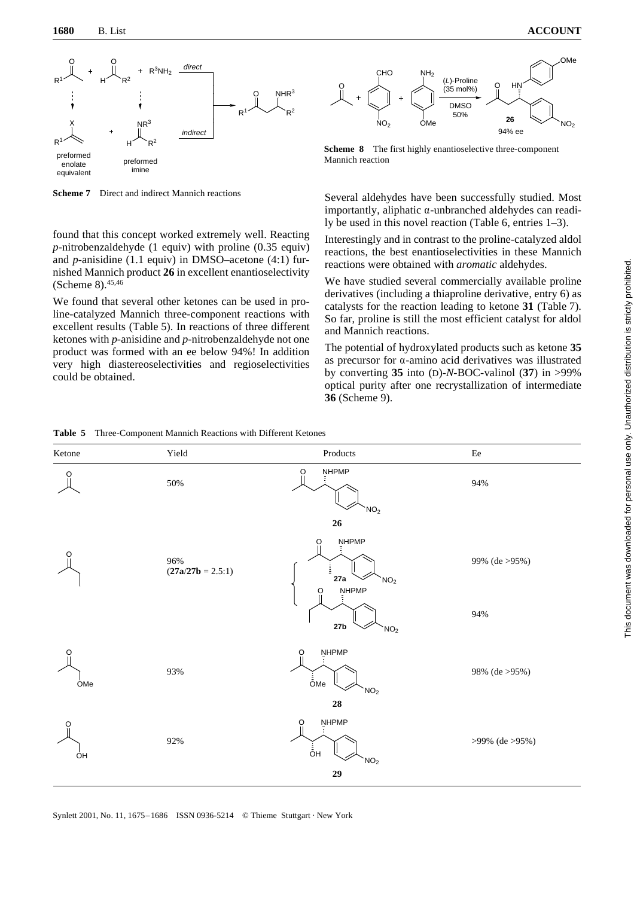

**Scheme 7** Direct and indirect Mannich reactions

found that this concept worked extremely well. Reacting *p-*nitrobenzaldehyde (1 equiv) with proline (0.35 equiv) and *p*-anisidine (1.1 equiv) in DMSO–acetone (4:1) furnished Mannich product **26** in excellent enantioselectivity (Scheme 8).45,46

We found that several other ketones can be used in proline-catalyzed Mannich three-component reactions with excellent results (Table 5). In reactions of three different ketones with *p-*anisidine and *p*-nitrobenzaldehyde not one product was formed with an ee below 94%! In addition very high diastereoselectivities and regioselectivities could be obtained.



**Scheme 8** The first highly enantioselective three-component Mannich reaction

Several aldehydes have been successfully studied. Most importantly, aliphatic  $\alpha$ -unbranched aldehydes can readily be used in this novel reaction (Table 6, entries 1–3).

Interestingly and in contrast to the proline-catalyzed aldol reactions, the best enantioselectivities in these Mannich reactions were obtained with *aromatic* aldehydes.

We have studied several commercially available proline derivatives (including a thiaproline derivative, entry 6) as catalysts for the reaction leading to ketone **31** (Table 7). So far, proline is still the most efficient catalyst for aldol and Mannich reactions.

The potential of hydroxylated products such as ketone **35** as precursor for  $\alpha$ -amino acid derivatives was illustrated by converting **35** into (D)-*N*-BOC-valinol (**37**) in >99% optical purity after one recrystallization of intermediate **36** (Scheme 9).

|  |  |  |  | <b>Table 5</b> Three-Component Mannich Reactions with Different Ketones |
|--|--|--|--|-------------------------------------------------------------------------|
|--|--|--|--|-------------------------------------------------------------------------|

| Ketone  | Yield                      | $\bold{Products}$                                                                                                 | $\rm Ee$              |
|---------|----------------------------|-------------------------------------------------------------------------------------------------------------------|-----------------------|
| O       | $50\%$                     | <b>NHPMP</b><br>$\Omega$<br>NO <sub>2</sub>                                                                       | 94%                   |
|         | 96%<br>$(27a/27b = 2.5:1)$ | ${\bf 26}$<br><b>NHPMP</b><br>O<br>Ě.<br>27a<br>$\rm NO_2$<br><b>NHPMP</b><br>ö                                   | 99% (de >95%)<br>94%  |
| OMe     | 93%                        | $27\mathrm{b}$<br>NO <sub>2</sub><br>$N$ HPMP<br>O<br>$\bar{\tilde{\text{OMe}}}$<br>NO <sub>2</sub><br>${\bf 28}$ | 98% (de >95%)         |
| O<br>ÓΗ | 92%                        | $N$ HPMP<br>O<br>ŌΗ<br>NO <sub>2</sub><br>${\bf 29}$                                                              | $>99\%$ (de $>95\%$ ) |

Synlett 2001, No. 11, 1675–1686 ISSN 0936-5214 © Thieme Stuttgart · New York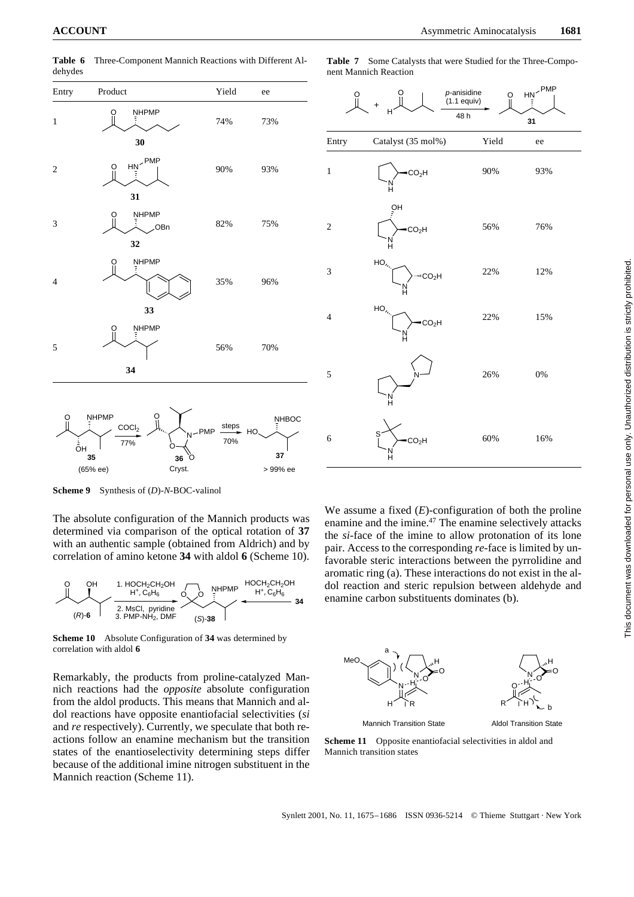NHBOC  $\text{COCl}_2$   $\rightarrow$   $\rightarrow$   $\rightarrow$   $\rightarrow$   $\rightarrow$  HO O O **NAC** O NHPMP 77% 70% steps Entry Product Yield ee 1 **30** 74% 73% 2 **31** 90% 93% 3 **32** 82% 75%  $\overline{\Delta}$ **33** 35% 96% 5 **34** 56% 70% **NHPMP** HN<sup>'</sup> PMP **NHPMP** OBn **NHPMP NHPMP** 

**Table 6** Three-Component Mannich Reactions with Different Aldehydes

**Table 7** Some Catalysts that were Studied for the Three-Component Mannich Reaction





6 60% 16%

 $204$ 

N H

S N H



**Scheme 9** Synthesis of (*D*)-*N-*BOC-valinol

The absolute configuration of the Mannich products was determined via comparison of the optical rotation of **37** with an authentic sample (obtained from Aldrich) and by correlation of amino ketone **34** with aldol **6** (Scheme 10).



**Scheme 10** Absolute Configuration of **34** was determined by correlation with aldol **6**

Remarkably, the products from proline-catalyzed Mannich reactions had the *opposite* absolute configuration from the aldol products. This means that Mannich and aldol reactions have opposite enantiofacial selectivities (*si* and *re* respectively). Currently, we speculate that both reactions follow an enamine mechanism but the transition states of the enantioselectivity determining steps differ because of the additional imine nitrogen substituent in the Mannich reaction (Scheme 11).

We assume a fixed (*E*)-configuration of both the proline enamine and the imine. $47$  The enamine selectively attacks the *si-*face of the imine to allow protonation of its lone pair. Access to the corresponding *re-*face is limited by unfavorable steric interactions between the pyrrolidine and aromatic ring (a). These interactions do not exist in the aldol reaction and steric repulsion between aldehyde and enamine carbon substituents dominates (b).



**Scheme 11** Opposite enantiofacial selectivities in aldol and Mannich transition states

Synlett 2001, No. 11, 1675–1686 ISSN 0936-5214 © Thieme Stuttgart · New York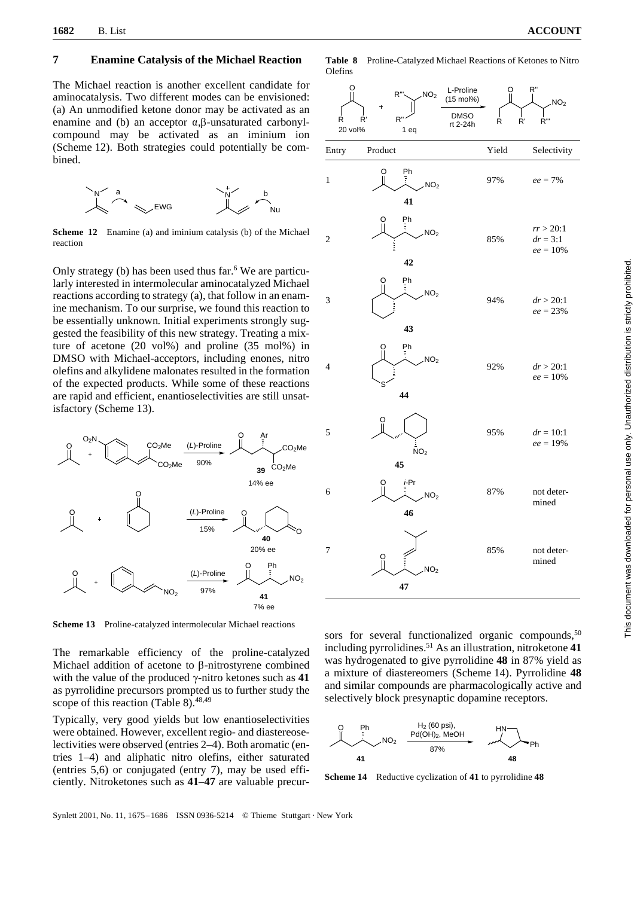$dr > 20:1$ *ee* = 23%

#### **7 Enamine Catalysis of the Michael Reaction**

The Michael reaction is another excellent candidate for aminocatalysis. Two different modes can be envisioned: (a) An unmodified ketone donor may be activated as an enamine and (b) an acceptor  $\alpha, \beta$ -unsaturated carbonylcompound may be activated as an iminium ion (Scheme 12). Both strategies could potentially be combined.



**Scheme 12** Enamine (a) and iminium catalysis (b) of the Michael reaction

Only strategy (b) has been used thus far.<sup>6</sup> We are particularly interested in intermolecular aminocatalyzed Michael reactions according to strategy (a), that follow in an enamine mechanism. To our surprise, we found this reaction to be essentially unknown*.* Initial experiments strongly suggested the feasibility of this new strategy. Treating a mixture of acetone (20 vol%) and proline (35 mol%) in DMSO with Michael-acceptors, including enones, nitro olefins and alkylidene malonates resulted in the formation of the expected products. While some of these reactions are rapid and efficient, enantioselectivities are still unsatisfactory (Scheme 13).



**Scheme 13** Proline-catalyzed intermolecular Michael reactions

The remarkable efficiency of the proline-catalyzed Michael addition of acetone to  $\beta$ -nitrostyrene combined with the value of the produced  $\gamma$ -nitro ketones such as **41** as pyrrolidine precursors prompted us to further study the scope of this reaction (Table 8). $48,49$ 

Typically, very good yields but low enantioselectivities were obtained. However, excellent regio- and diastereoselectivities were observed (entries 2–4). Both aromatic (entries 1–4) and aliphatic nitro olefins, either saturated (entries 5,6) or conjugated (entry 7), may be used efficiently. Nitroketones such as **41**–**47** are valuable precur**Table 8** Proline-Catalyzed Michael Reactions of Ketones to Nitro Olefins



Entry Product Yield Selectivity



**42** 85% *rr* > 20:1 *dr* = 3:1 *ee* = 10% O Ph NO2

$$
\begin{array}{c}\n0 & Ph \\
\hline\n\vdots \\
\hline\n\end{array}
$$
\nNO<sub>2</sub>

\n94%

2

3

4

$$
60 \t Ph
$$
  
\n $1002$   
\n $1002$   
\n92%  $dr > 20:1$   
\n $ee = 10\%$ 



sors for several functionalized organic compounds,  $50$ including pyrrolidines.51 As an illustration, nitroketone **41** was hydrogenated to give pyrrolidine **48** in 87% yield as a mixture of diastereomers (Scheme 14). Pyrrolidine **48** and similar compounds are pharmacologically active and selectively block presynaptic dopamine receptors.



**47**

**Scheme 14** Reductive cyclization of **41** to pyrrolidine **48**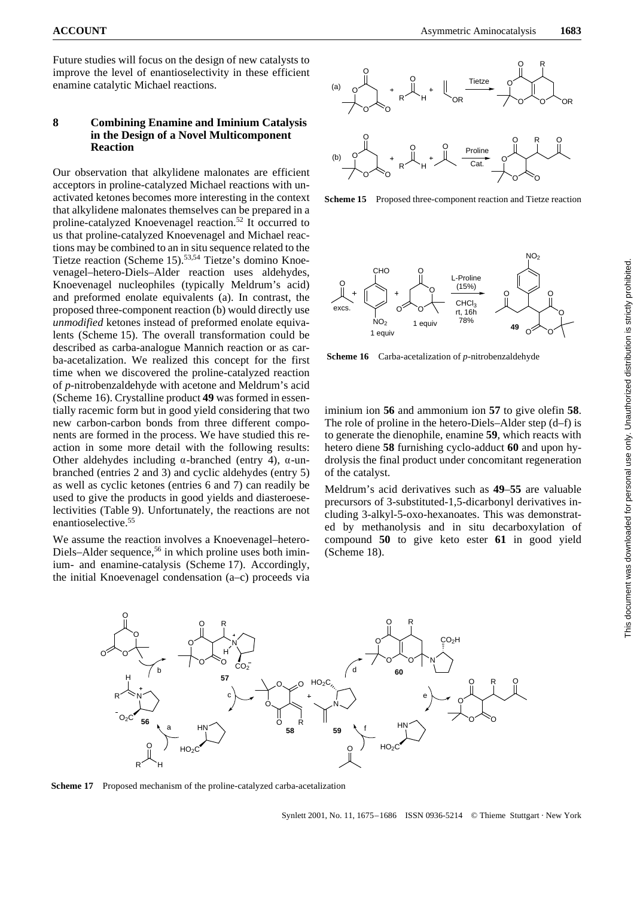Future studies will focus on the design of new catalysts to improve the level of enantioselectivity in these efficient enamine catalytic Michael reactions.

# **8 Combining Enamine and Iminium Catalysis in the Design of a Novel Multicomponent Reaction**

Our observation that alkylidene malonates are efficient acceptors in proline-catalyzed Michael reactions with unactivated ketones becomes more interesting in the context that alkylidene malonates themselves can be prepared in a proline-catalyzed Knoevenagel reaction.<sup>52</sup> It occurred to us that proline-catalyzed Knoevenagel and Michael reactions may be combined to an in situ sequence related to the Tietze reaction (Scheme 15).53,54 Tietze's domino Knoevenagel–hetero-Diels–Alder reaction uses aldehydes, Knoevenagel nucleophiles (typically Meldrum's acid) and preformed enolate equivalents (a). In contrast, the proposed three-component reaction (b) would directly use *unmodified* ketones instead of preformed enolate equivalents (Scheme 15). The overall transformation could be described as carba-analogue Mannich reaction or as carba-acetalization. We realized this concept for the first time when we discovered the proline-catalyzed reaction of *p*-nitrobenzaldehyde with acetone and Meldrum's acid (Scheme 16). Crystalline product **49** was formed in essentially racemic form but in good yield considering that two new carbon-carbon bonds from three different components are formed in the process. We have studied this reaction in some more detail with the following results: Other aldehydes including  $\alpha$ -branched (entry 4),  $\alpha$ -unbranched (entries 2 and 3) and cyclic aldehydes (entry 5) as well as cyclic ketones (entries 6 and 7) can readily be used to give the products in good yields and diasteroeselectivities (Table 9). Unfortunately, the reactions are not enantioselective.55

We assume the reaction involves a Knoevenagel–hetero-Diels–Alder sequence,<sup>56</sup> in which proline uses both iminium- and enamine-catalysis (Scheme 17). Accordingly, the initial Knoevenagel condensation (a–c) proceeds via



**Scheme 15** Proposed three-component reaction and Tietze reaction



**Scheme 16** Carba-acetalization of *p*-nitrobenzaldehyde

iminium ion **56** and ammonium ion **57** to give olefin **58**. The role of proline in the hetero-Diels–Alder step (d–f) is to generate the dienophile, enamine **59**, which reacts with hetero diene **58** furnishing cyclo-adduct **60** and upon hydrolysis the final product under concomitant regeneration of the catalyst.

Meldrum's acid derivatives such as **49**–**55** are valuable precursors of 3-substituted-1,5-dicarbonyl derivatives including 3-alkyl-5-oxo-hexanoates. This was demonstrated by methanolysis and in situ decarboxylation of compound **50** to give keto ester **61** in good yield (Scheme 18).



**Scheme 17** Proposed mechanism of the proline-catalyzed carba-acetalization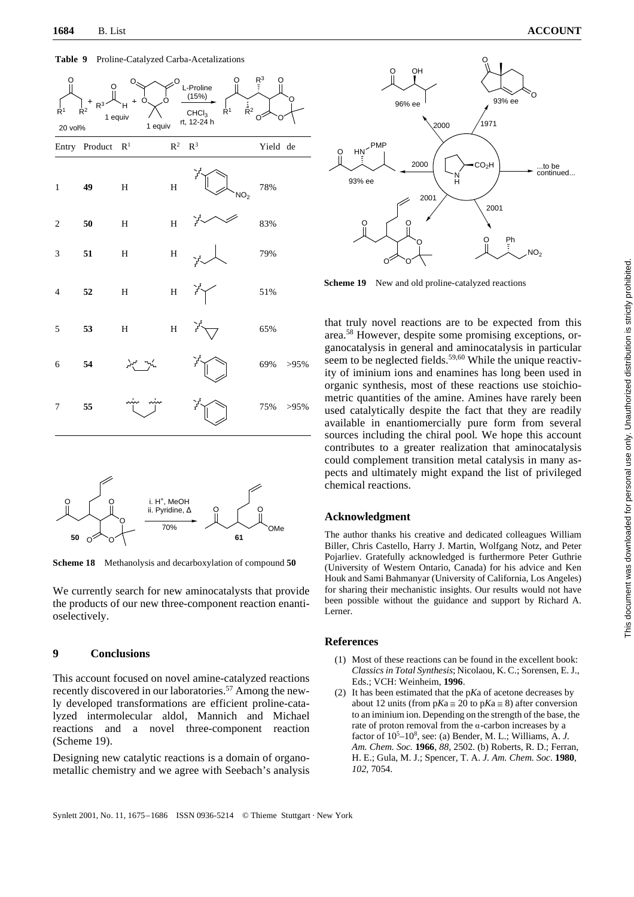**Table 9** Proline-Catalyzed Carba-Acetalizations

| Ŕ1<br>20 vol%  | $\mathsf{R}^3$<br>$R^2$      | O<br>$\,{}^+$<br>1 equiv<br>1 equiv |             | L-Proline<br>(15%)<br>R <sup>1</sup><br>CHCl <sub>3</sub><br>rt, 12-24 h | $\frac{1}{R^2}$ | $R^3$    |      |
|----------------|------------------------------|-------------------------------------|-------------|--------------------------------------------------------------------------|-----------------|----------|------|
|                | Entry Product R <sup>1</sup> |                                     | $R^2$ $R^3$ |                                                                          |                 | Yield de |      |
| $\mathbf{1}$   | 49                           | H                                   | $\mathbf H$ | کړ<br>کو                                                                 | NO <sub>2</sub> | 78%      |      |
| $\overline{2}$ | ${\bf 50}$                   | H                                   | H           | تې                                                                       |                 | 83%      |      |
| 3              | 51                           | H                                   | $\rm H$     |                                                                          |                 | 79%      |      |
| $\overline{4}$ | 52                           | $\rm H$                             | $\rm H$     |                                                                          |                 | 51%      |      |
| 5              | 53                           | $\rm H$                             | $\rm H$     |                                                                          |                 | 65%      |      |
| 6              | 54                           |                                     |             |                                                                          |                 | 69%      | >95% |
| 7              | 55                           |                                     |             | ر<br>م                                                                   |                 | 75%      | >95% |



**Scheme 18** Methanolysis and decarboxylation of compound **50**

We currently search for new aminocatalysts that provide the products of our new three-component reaction enantioselectively.

# **9 Conclusions**

This account focused on novel amine-catalyzed reactions recently discovered in our laboratories.<sup>57</sup> Among the newly developed transformations are efficient proline-catalyzed intermolecular aldol, Mannich and Michael reactions and a novel three-component reaction (Scheme 19).

Designing new catalytic reactions is a domain of organometallic chemistry and we agree with Seebach's analysis



**Scheme 19** New and old proline-catalyzed reactions

that truly novel reactions are to be expected from this area.58 However, despite some promising exceptions, organocatalysis in general and aminocatalysis in particular seem to be neglected fields.<sup>59,60</sup> While the unique reactivity of iminium ions and enamines has long been used in organic synthesis, most of these reactions use stoichiometric quantities of the amine. Amines have rarely been used catalytically despite the fact that they are readily available in enantiomercially pure form from several sources including the chiral pool*.* We hope this account contributes to a greater realization that aminocatalysis could complement transition metal catalysis in many aspects and ultimately might expand the list of privileged chemical reactions.

## **Acknowledgment**

The author thanks his creative and dedicated colleagues William Biller, Chris Castello, Harry J. Martin, Wolfgang Notz, and Peter Pojarliev. Gratefully acknowledged is furthermore Peter Guthrie (University of Western Ontario, Canada) for his advice and Ken Houk and Sami Bahmanyar (University of California, Los Angeles) for sharing their mechanistic insights. Our results would not have been possible without the guidance and support by Richard A. Lerner.

#### **References**

- (1) Most of these reactions can be found in the excellent book: *Classics in Total Synthesis*; Nicolaou, K. C.; Sorensen, E. J., Eds.; VCH: Weinheim, **1996**.
- (2) It has been estimated that the p*K*a of acetone decreases by about 12 units (from  $pKa \approx 20$  to  $pKa \approx 8$ ) after conversion to an iminium ion. Depending on the strength of the base, the rate of proton removal from the  $\alpha$ -carbon increases by a factor of 10<sup>5</sup>-10<sup>8</sup>, see: (a) Bender, M. L.; Williams, A. *J. Am. Chem. Soc.* **1966**, *88*, 2502. (b) Roberts, R. D.; Ferran, H. E.; Gula, M. J.; Spencer, T. A. *J. Am. Chem. Soc.* **1980**, *102*, 7054.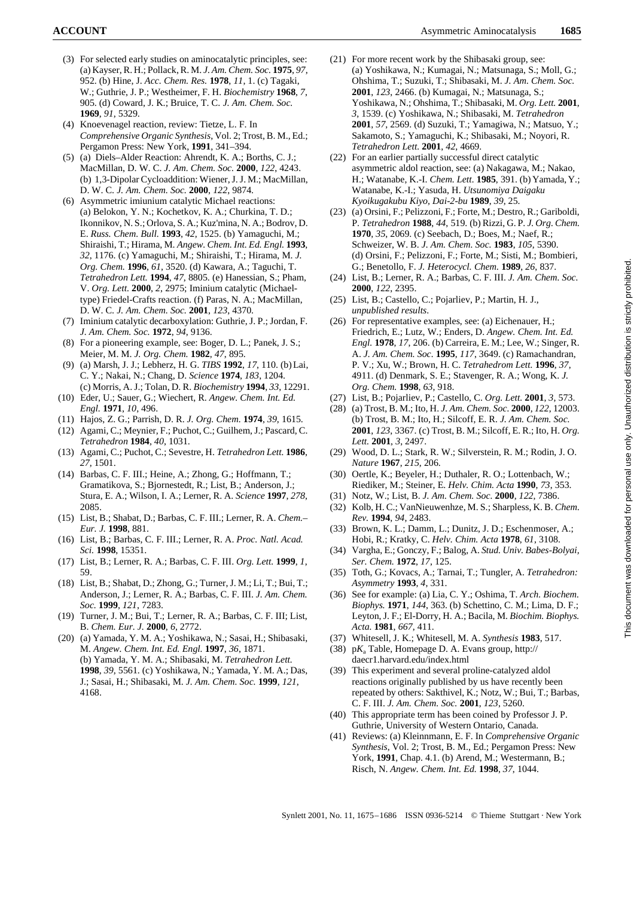- (3) For selected early studies on aminocatalytic principles, see: (a) Kayser, R. H.; Pollack, R. M. *J. Am. Chem. Soc.* **1975**, *97*, 952. (b) Hine, J. *Acc. Chem. Res.* **1978**, *11*, 1. (c) Tagaki, W.; Guthrie, J. P.; Westheimer, F. H. *Biochemistry* **1968**, *7*, 905. (d) Coward, J. K.; Bruice, T. C. *J. Am. Chem. Soc.*  **1969**, *91*, 5329.
- (4) Knoevenagel reaction, review: Tietze, L. F. In *Comprehensive Organic Synthesis*, Vol. 2; Trost, B. M., Ed.; Pergamon Press: New York, **1991**, 341–394.
- (5) (a) Diels–Alder Reaction: Ahrendt, K. A.; Borths, C. J.; MacMillan, D. W. C. *J. Am. Chem. Soc.* **2000**, *122*, 4243. (b) 1,3-Dipolar Cycloaddition: Wiener, J. J. M.; MacMillan, D. W. C. *J. Am. Chem. Soc.* **2000**, *122*, 9874.
- (6) Asymmetric imiunium catalytic Michael reactions: (a) Belokon, Y. N.; Kochetkov, K. A.; Churkina, T. D.; Ikonnikov, N. S.; Orlova, S. A.; Kuz'mina, N. A.; Bodrov, D. E. *Russ. Chem. Bull.* **1993**, *42*, 1525. (b) Yamaguchi, M.; Shiraishi, T.; Hirama, M. *Angew. Chem. Int. Ed. Engl.* **1993**, *32*, 1176. (c) Yamaguchi, M.; Shiraishi, T.; Hirama, M. *J. Org. Chem.* **1996**, *61*, 3520. (d) Kawara, A.; Taguchi, T. *Tetrahedron Lett.* **1994**, *47*, 8805. (e) Hanessian, S.; Pham, V. *Org. Lett.* **2000**, *2*, 2975; Iminium catalytic (Michaeltype) Friedel-Crafts reaction. (f) Paras, N. A.; MacMillan, D. W. C. *J. Am. Chem. Soc.* **2001**, *123*, 4370.
- (7) Iminium catalytic decarboxylation: Guthrie, J. P.; Jordan, F. *J. Am. Chem. Soc.* **1972**, *94*, 9136.
- (8) For a pioneering example, see: Boger, D. L.; Panek, J. S.; Meier, M. M. *J. Org. Chem.* **1982**, *47*, 895.
- (9) (a) Marsh, J. J.; Lebherz, H. G. *TIBS* **1992**, *17*, 110. (b) Lai, C. Y.; Nakai, N.; Chang, D. *Science* **1974**, *183*, 1204. (c) Morris, A. J.; Tolan, D. R. *Biochemistry* **1994**, *33*, 12291.
- (10) Eder, U.; Sauer, G.; Wiechert, R. *Angew. Chem. Int. Ed. Engl.* **1971**, *10*, 496.
- (11) Hajos, Z. G.; Parrish, D. R. *J. Org. Chem.* **1974**, *39*, 1615.
- (12) Agami, C.; Meynier, F.; Puchot, C.; Guilhem, J.; Pascard, C. *Tetrahedron* **1984**, *40*, 1031.
- (13) Agami, C.; Puchot, C.; Sevestre, H. *Tetrahedron Lett.* **1986**, *27*, 1501.
- (14) Barbas, C. F. III.; Heine, A.; Zhong, G.; Hoffmann, T.; Gramatikova, S.; Bjornestedt, R.; List, B.; Anderson, J.; Stura, E. A.; Wilson, I. A.; Lerner, R. A. *Science* **1997**, *278*, 2085.
- (15) List, B.; Shabat, D.; Barbas, C. F. III.; Lerner, R. A. *Chem.– Eur. J.* **1998**, 881.
- (16) List, B.; Barbas, C. F. III.; Lerner, R. A. *Proc. Natl. Acad. Sci.* **1998**, 15351.
- (17) List, B.; Lerner, R. A.; Barbas, C. F. III. *Org. Lett.* **1999**, *1*, 59.
- (18) List, B.; Shabat, D.; Zhong, G.; Turner, J. M.; Li, T.; Bui, T.; Anderson, J.; Lerner, R. A.; Barbas, C. F. III. *J. Am. Chem. Soc.* **1999**, *121*, 7283.
- (19) Turner, J. M.; Bui, T.; Lerner, R. A.; Barbas, C. F. III; List, B. *Chem. Eur. J.* **2000**, *6*, 2772.
- (20) (a) Yamada, Y. M. A.; Yoshikawa, N.; Sasai, H.; Shibasaki, M. *Angew. Chem. Int. Ed. Engl.* **1997**, *36*, 1871. (b) Yamada, Y. M. A.; Shibasaki, M. *Tetrahedron Lett.*  **1998**, *39*, 5561. (c) Yoshikawa, N.; Yamada, Y. M. A.; Das, J.; Sasai, H.; Shibasaki, M. *J. Am. Chem. Soc.* **1999**, *121*, 4168.
- (21) For more recent work by the Shibasaki group, see: (a) Yoshikawa, N.; Kumagai, N.; Matsunaga, S.; Moll, G.; Ohshima, T.; Suzuki, T.; Shibasaki, M. *J. Am. Chem. Soc.*  **2001**, *123*, 2466. (b) Kumagai, N.; Matsunaga, S.; Yoshikawa, N.; Ohshima, T.; Shibasaki, M. *Org. Lett.* **2001**, *3*, 1539. (c) Yoshikawa, N.; Shibasaki, M. *Tetrahedron*  **2001**, *57*, 2569. (d) Suzuki, T.; Yamagiwa, N.; Matsuo, Y.; Sakamoto, S.; Yamaguchi, K.; Shibasaki, M.; Noyori, R. *Tetrahedron Lett.* **2001**, *42*, 4669.
- (22) For an earlier partially successful direct catalytic asymmetric aldol reaction, see: (a) Nakagawa, M.; Nakao, H.; Watanabe, K.-I. *Chem. Lett.* **1985**, 391. (b) Yamada, Y.; Watanabe, K.-I.; Yasuda, H. *Utsunomiya Daigaku Kyoikugakubu Kiyo, Dai-2-bu* **1989**, *39*, 25.
- (23) (a) Orsini, F.; Pelizzoni, F.; Forte, M.; Destro, R.; Gariboldi, P. *Tetrahedron* **1988**, *44*, 519. (b) Rizzi, G. P. *J. Org. Chem.*  **1970**, *35*, 2069. (c) Seebach, D.; Boes, M.; Naef, R.; Schweizer, W. B. *J. Am. Chem. Soc.* **1983**, *105*, 5390. (d) Orsini, F.; Pelizzoni, F.; Forte, M.; Sisti, M.; Bombieri, G.; Benetollo, F. *J. Heterocycl. Chem.* **1989**, *26*, 837.
- (24) List, B.; Lerner, R. A.; Barbas, C. F. III. *J. Am. Chem. Soc.*  **2000**, *122*, 2395.
- (25) List, B.; Castello, C.; Pojarliev, P.; Martin, H. J., *unpublished results*.
- (26) For representative examples, see: (a) Eichenauer, H.; Friedrich, E.; Lutz, W.; Enders, D. *Angew. Chem. Int. Ed. Engl.* **1978**, *17*, 206. (b) Carreira, E. M.; Lee, W.; Singer, R. A. *J. Am. Chem. Soc.* **1995**, *117*, 3649. (c) Ramachandran, P. V.; Xu, W.; Brown, H. C. *Tetrahedrom Lett.* **1996**, *37*, 4911. (d) Denmark, S. E.; Stavenger, R. A.; Wong, K. *J. Org. Chem.* **1998**, *63*, 918.
- (27) List, B.; Pojarliev, P.; Castello, C. *Org. Lett.* **2001**, *3*, 573.
- (28) (a) Trost, B. M.; Ito, H. *J. Am. Chem. Soc.* **2000**, *122*, 12003. (b) Trost, B. M.; Ito, H.; Silcoff, E. R. *J. Am. Chem. Soc.*  **2001**, *123*, 3367. (c) Trost, B. M.; Silcoff, E. R.; Ito, H. *Org. Lett.* **2001**, *3*, 2497.
- (29) Wood, D. L.; Stark, R. W.; Silverstein, R. M.; Rodin, J. O. *Nature* **1967**, *215*, 206.
- (30) Oertle, K.; Beyeler, H.; Duthaler, R. O.; Lottenbach, W.; Riediker, M.; Steiner, E. *Helv. Chim. Acta* **1990**, *73*, 353.
- (31) Notz, W.; List, B. *J. Am. Chem. Soc.* **2000**, *122*, 7386.
- (32) Kolb, H. C.; VanNieuwenhze, M. S.; Sharpless, K. B. *Chem. Rev.* **1994**, *94*, 2483.
- (33) Brown, K. L.; Damm, L.; Dunitz, J. D.; Eschenmoser, A.; Hobi, R.; Kratky, C. *Helv. Chim. Acta* **1978**, *61*, 3108.
- (34) Vargha, E.; Gonczy, F.; Balog, A. *Stud. Univ. Babes-Bolyai, Ser. Chem.* **1972**, *17*, 125.
- (35) Toth, G.; Kovacs, A.; Tarnai, T.; Tungler, A. *Tetrahedron: Asymmetry* **1993**, *4*, 331.
- (36) See for example: (a) Lia, C. Y.; Oshima, T. *Arch. Biochem. Biophys.* **1971**, *144*, 363. (b) Schettino, C. M.; Lima, D. F.; Leyton, J. F.; El-Dorry, H. A.; Bacila, M. *Biochim. Biophys. Acta.* **1981**, *667*, 411.
- (37) Whitesell, J. K.; Whitesell, M. A. *Synthesis* **1983**, 517.
- (38) p*K*a Table, Homepage D. A. Evans group, http:// daecr1.harvard.edu/index.html
- (39) This experiment and several proline-catalyzed aldol reactions originally published by us have recently been repeated by others: Sakthivel, K.; Notz, W.; Bui, T.; Barbas, C. F. III. *J. Am. Chem. Soc.* **2001**, *123*, 5260.
- (40) This appropriate term has been coined by Professor J. P. Guthrie, University of Western Ontario, Canada.
- (41) Reviews: (a) Kleinnmann, E. F. In *Comprehensive Organic Synthesis*, Vol. 2; Trost, B. M., Ed.; Pergamon Press: New York, **1991**, Chap. 4.1. (b) Arend, M.; Westermann, B.; Risch, N. *Angew. Chem. Int. Ed.* **1998**, *37*, 1044.